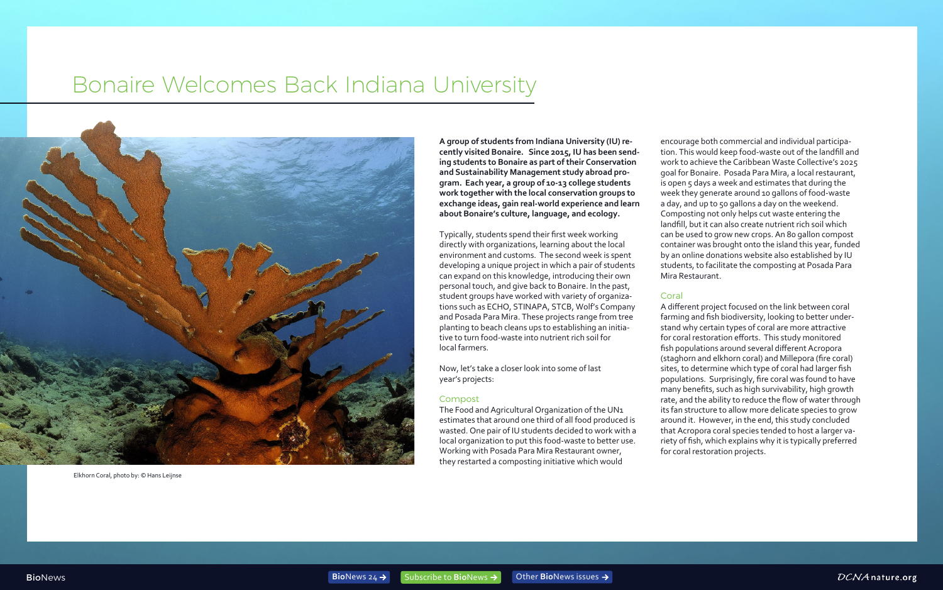# Bonaire Welcomes Back Indiana University

**A group of students from Indiana University (IU) recently visited Bonaire. Since 2015, IU has been sending students to Bonaire as part of their Conservation and Sustainability Management study abroad program. Each year, a group of 10-13 college students work together with the local conservation groups to exchange ideas, gain real-world experience and learn about Bonaire's culture, language, and ecology.**

Typically, students spend their first week working directly with organizations, learning about the local environment and customs. The second week is spent developing a unique project in which a pair of students can expand on this knowledge, introducing their own personal touch, and give back to Bonaire. In the past, student groups have worked with variety of organizations such as ECHO, STINAPA, STCB, Wolf's Company and Posada Para Mira. These projects range from tree planting to beach cleans ups to establishing an initiative to turn food-waste into nutrient rich soil for local farmers.

Now, let's take a closer look into some of last year's projects:

#### Compost

The Food and Agricultural Organization of the UN1 estimates that around one third of all food produced is wasted. One pair of IU students decided to work with a local organization to put this food-waste to better use. Working with Posada Para Mira Restaurant owner, they restarted a composting initiative which would

encourage both commercial and individual participation. This would keep food-waste out of the landfill and work to achieve the Caribbean Waste Collective's 2025 goal for Bonaire. Posada Para Mira, a local restaurant, is open 5 days a week and estimates that during the week they generate around 10 gallons of food-waste a day, and up to 50 gallons a day on the weekend. Composting not only helps cut waste entering the landfill, but it can also create nutrient rich soil which can be used to grow new crops. An 80 gallon compost container was brought onto the island this year, funded by an online donations website also established by IU students, to facilitate the composting at Posada Para Mira Restaurant.

### Coral

A different project focused on the link between coral farming and fish biodiversity, looking to better understand why certain types of coral are more attractive for coral restoration efforts. This study monitored fish populations around several different Acropora (staghorn and elkhorn coral) and Millepora (fire coral) sites, to determine which type of coral had larger fish populations. Surprisingly, fire coral was found to have many benefits, such as high survivability, high growth rate, and the ability to reduce the flow of water through its fan structure to allow more delicate species to grow around it. However, in the end, this study concluded that Acropora coral species tended to host a larger variety of fish, which explains why it is typically preferred for coral restoration projects.





Elkhorn Coral, photo by: © Hans Leijnse